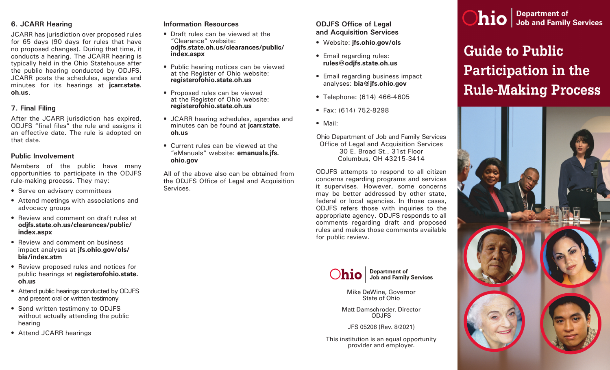# **6. JCARR Hearing**

JCARR has jurisdiction over proposed rules for 65 days (90 days for rules that have no proposed changes). During that time, it conducts a hearing. The JCARR hearing is typically held in the Ohio Statehouse after the public hearing conducted by ODJFS. JCARR posts the schedules, agendas and minutes for its hearings at **[jcarr.state.](http://www.jcarr.state.oh.us/) [oh.us](http://www.jcarr.state.oh.us/)**.

# **7. Final Filing**

After the JCARR jurisdiction has expired, ODJFS "final files" the rule and assigns it an effective date. The rule is adopted on that date.

# **Public Involvement**

Members of the public have many opportunities to participate in the ODJFS rule-making process. They may:

- Serve on advisory committees
- Attend meetings with associations and advocacy groups
- Review and comment on draft rules at **[odjfs.state.oh.us/clearances/public/](http://www.odjfs.state.oh.us/clearances/public/index.aspx) [index.aspx](http://www.odjfs.state.oh.us/clearances/public/index.aspx)**
- Review and comment on business impact analyses at **[jfs.ohio.gov/ols/](http://www.jfs.ohio.gov/ols/bia/index.stm) [bia/index.stm](http://www.jfs.ohio.gov/ols/bia/index.stm)**
- Review proposed rules and notices for public hearings at **[registerofohio.state.](http://www.registerofohio.state.oh.us/) [oh.us](http://www.registerofohio.state.oh.us/)**
- Attend public hearings conducted by ODJFS and present oral or written testimony
- Send written testimony to ODJFS without actually attending the public hearing
- Attend JCARR hearings

# **Information Resources**

- Draft rules can be vie[w](http://www.odjfs.state.oh.us/clearances/public/index.aspx)ed at the "Clearance" website: **[odjfs.state.oh.us/clearances/public/](http://www.odjfs.state.oh.us/clearances/public/index.aspx) [index.aspx](http://www.odjfs.state.oh.us/clearances/public/index.aspx)**
- Public hearing notices can be viewed at the Register of Ohio website: **[registerofohio.state.oh.us](http://www.registerofohio.state.oh.us/)**
- Proposed rules can be viewed at the Register of Ohio website: **[registerofohio.state.oh.us](http://www.registerofohio.state.oh.us/)**
- JCARR hearing schedules, agendas and minutes can be found at **[jcarr.state.](http://www.jcarr.state.oh.us/) [oh.us](http://www.jcarr.state.oh.us/)**
- Current rules can be viewed at the "eManuals" website: **[emanuals.j](http://emanuals.jfs.ohio.gov/index.stm)fs. ohio.gov**

All of the above also can be obtained from the ODJFS Office of Legal and Acquisition Services.

# **ODJFS Office of Legal and Acquisition Services**

- Website: **[jfs.ohio.gov/ols](http://www.jfs.ohio.gov/ols)**
- Email regarding rules: **[rules@odjfs.state.oh.us](mailto:http://rules%40odjfs.state.oh.us?subject=)**
- Email regarding business impact analyses: **[bia@jfs.ohio.gov](mailto:http://bia%40jfs.ohio.gov?subject=)**
- Telephone: (614) 466-4605
- Fax: (614) 752-8298
- Mail:

Ohio Department of Job and Family Services Office of Legal and Acquisition Services 30 E. Broad St., 31st Floor Columbus, OH 43215-3414

ODJFS attempts to respond to all citizen concerns regarding programs and services it supervises. However, some concerns may be better addressed by other state, federal or local agencies. In those cases, ODJFS refers those with inquiries to the appropriate agency. ODJFS responds to all comments regarding draft and proposed rules and makes those comments available for public review.



**Department of<br>Job and Family Services** 

Mike DeWine, Governor State of Ohio

Matt Damschroder, Director ODJFS

JFS 05206 (Rev. 8/2021)

This institution is an equal opportunity provider and employer.



# **Guide to Public Participation in the Rule-Making Process**